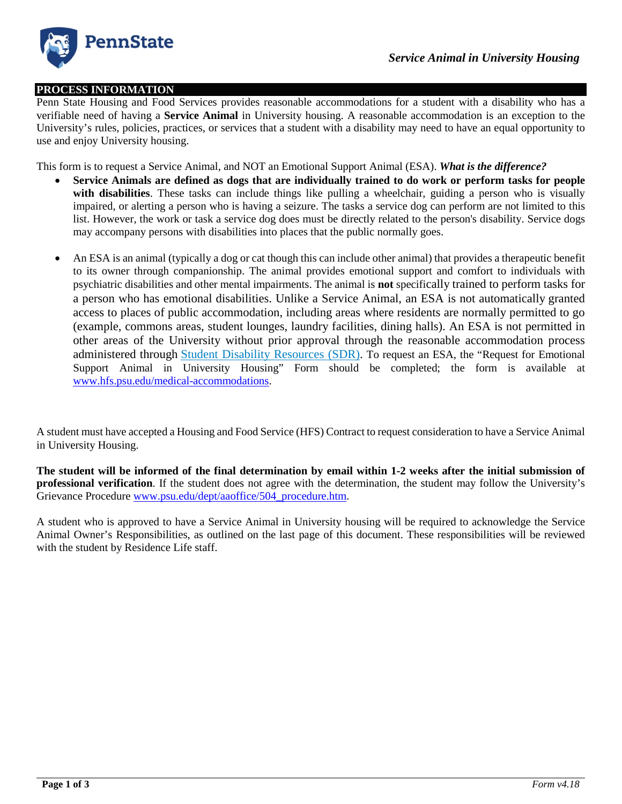

## **PROCESS INFORMATION**

Penn State Housing and Food Services provides reasonable accommodations for a student with a disability who has a verifiable need of having a **Service Animal** in University housing. A reasonable accommodation is an exception to the University's rules, policies, practices, or services that a student with a disability may need to have an equal opportunity to use and enjoy University housing.

This form is to request a Service Animal, and NOT an Emotional Support Animal (ESA). *What is the difference?*

- **Service Animals are defined as dogs that are individually trained to do work or perform tasks for people with disabilities**. These tasks can include things like pulling a wheelchair, guiding a person who is visually impaired, or alerting a person who is having a seizure. The tasks a service dog can perform are not limited to this list. However, the work or task a service dog does must be directly related to the person's disability. Service dogs may accompany persons with disabilities into places that the public normally goes.
- An ESA is an animal (typically a dog or cat though this can include other animal) that provides a therapeutic benefit to its owner through companionship. The animal provides emotional support and comfort to individuals with psychiatric disabilities and other mental impairments. The animal is **not** specifically trained to perform tasks for a person who has emotional disabilities. Unlike a Service Animal, an ESA is not automatically granted access to places of public accommodation, including areas where residents are normally permitted to go (example, commons areas, student lounges, laundry facilities, dining halls). An ESA is not permitted in other areas of the University without prior approval through the reasonable accommodation process administered through Student Disability [Resources](http://equity.psu.edu/student-disability-resources) (SDR). To request an ESA, the "Request for Emotional Support Animal in University Housing" Form should be completed; the form is available at [www.hfs.psu.edu/medical-accommodations.](http://www.hfs.psu.edu/medical-accommodations)

A student must have accepted a Housing and Food Service (HFS) Contract to request consideration to have a Service Animal in University Housing.

**The student will be informed of the final determination by email within 1-2 weeks after the initial submission of professional verification**. If the student does not agree with the determination, the student may follow the University's Grievance Procedure [www.psu.edu/dept/aaoffice/504\\_procedure.htm.](http://www.psu.edu/dept/aaoffice/504_procedure.htm)

A student who is approved to have a Service Animal in University housing will be required to acknowledge the Service Animal Owner's Responsibilities, as outlined on the last page of this document. These responsibilities will be reviewed with the student by Residence Life staff.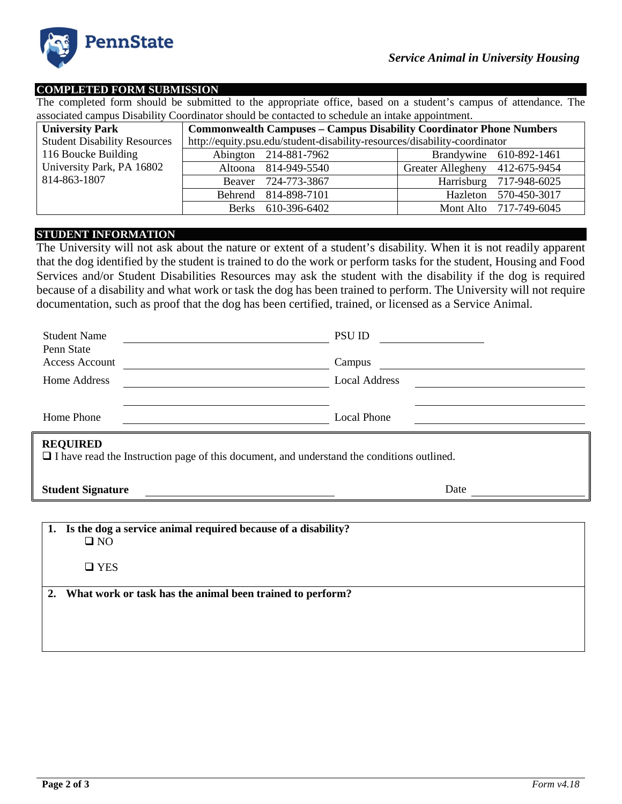

## **COMPLETED FORM SUBMISSION**

The completed form should be submitted to the appropriate office, based on a student's campus of attendance. The associated campus Disability Coordinator should be contacted to schedule an intake appointment.

| <b>University Park</b>              | <b>Commonwealth Campuses - Campus Disability Coordinator Phone Numbers</b> |                       |                                |                         |
|-------------------------------------|----------------------------------------------------------------------------|-----------------------|--------------------------------|-------------------------|
| <b>Student Disability Resources</b> | http://equity.psu.edu/student-disability-resources/disability-coordinator  |                       |                                |                         |
| 116 Boucke Building                 |                                                                            | Abington 214-881-7962 |                                | Brandywine 610-892-1461 |
| University Park, PA 16802           |                                                                            | Altoona 814-949-5540  | Greater Allegheny 412-675-9454 |                         |
| 814-863-1807                        |                                                                            | Beaver 724-773-3867   |                                | Harrisburg 717-948-6025 |
|                                     |                                                                            | Behrend 814-898-7101  |                                | Hazleton 570-450-3017   |
|                                     |                                                                            | Berks 610-396-6402    |                                | Mont Alto 717-749-6045  |

# **STUDENT INFORMATION**

The University will not ask about the nature or extent of a student's disability. When it is not readily apparent that the dog identified by the student is trained to do the work or perform tasks for the student, Housing and Food Services and/or Student Disabilities Resources may ask the student with the disability if the dog is required because of a disability and what work or task the dog has been trained to perform. The University will not require documentation, such as proof that the dog has been certified, trained, or licensed as a Service Animal.

| <b>Student Name</b>                                                                                                  | <b>PSU ID</b>        |  |  |  |
|----------------------------------------------------------------------------------------------------------------------|----------------------|--|--|--|
| Penn State                                                                                                           |                      |  |  |  |
| Access Account                                                                                                       | Campus               |  |  |  |
| Home Address                                                                                                         | <b>Local Address</b> |  |  |  |
|                                                                                                                      |                      |  |  |  |
| Home Phone                                                                                                           | Local Phone          |  |  |  |
| <b>REQUIRED</b><br>$\Box$ I have read the Instruction page of this document, and understand the conditions outlined. |                      |  |  |  |

| <b>Student Signature</b> | )ate |
|--------------------------|------|
|--------------------------|------|

#### **1. Is the dog a service animal required because of a disability?**  $\square$  NO

**Q** YES

## **2. What work or task has the animal been trained to perform?**